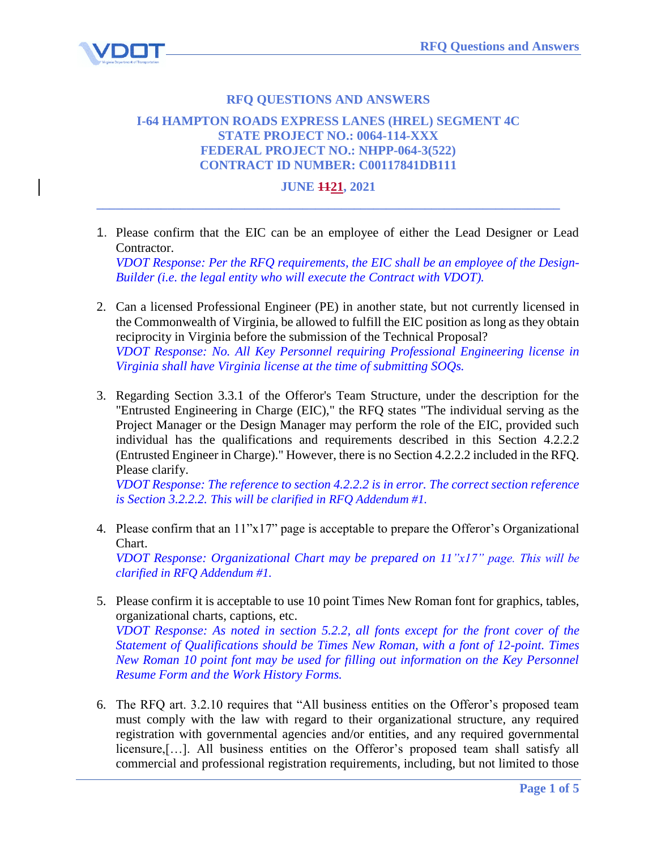

## **RFQ QUESTIONS AND ANSWERS**

## **I-64 HAMPTON ROADS EXPRESS LANES (HREL) SEGMENT 4C STATE PROJECT NO.: 0064-114-XXX FEDERAL PROJECT NO.: NHPP-064-3(522) CONTRACT ID NUMBER: C00117841DB111**

## **JUNE 1121, 2021 \_\_\_\_\_\_\_\_\_\_\_\_\_\_\_\_\_\_\_\_\_\_\_\_\_\_\_\_\_\_\_\_\_\_\_\_\_\_\_\_\_\_\_\_\_\_\_\_\_\_\_\_\_\_\_\_\_\_\_\_\_\_\_\_\_\_\_\_\_\_\_\_**

1. Please confirm that the EIC can be an employee of either the Lead Designer or Lead Contractor.

*VDOT Response: Per the RFQ requirements, the EIC shall be an employee of the Design-Builder (i.e. the legal entity who will execute the Contract with VDOT).*

- 2. Can a licensed Professional Engineer (PE) in another state, but not currently licensed in the Commonwealth of Virginia, be allowed to fulfill the EIC position as long as they obtain reciprocity in Virginia before the submission of the Technical Proposal? *VDOT Response: No. All Key Personnel requiring Professional Engineering license in Virginia shall have Virginia license at the time of submitting SOQs.*
- 3. Regarding Section 3.3.1 of the Offeror's Team Structure, under the description for the "Entrusted Engineering in Charge (EIC)," the RFQ states "The individual serving as the Project Manager or the Design Manager may perform the role of the EIC, provided such individual has the qualifications and requirements described in this Section 4.2.2.2 (Entrusted Engineer in Charge)." However, there is no Section 4.2.2.2 included in the RFQ. Please clarify.

*VDOT Response: The reference to section 4.2.2.2 is in error. The correct section reference is Section 3.2.2.2. This will be clarified in RFQ Addendum #1.*

- 4. Please confirm that an 11"x17" page is acceptable to prepare the Offeror's Organizational Chart. *VDOT Response: Organizational Chart may be prepared on 11"x17" page. This will be clarified in RFQ Addendum #1.*
- 5. Please confirm it is acceptable to use 10 point Times New Roman font for graphics, tables, organizational charts, captions, etc. *VDOT Response: As noted in section 5.2.2, all fonts except for the front cover of the Statement of Qualifications should be Times New Roman, with a font of 12-point. Times New Roman 10 point font may be used for filling out information on the Key Personnel Resume Form and the Work History Forms.*
- 6. The RFQ art. 3.2.10 requires that "All business entities on the Offeror's proposed team must comply with the law with regard to their organizational structure, any required registration with governmental agencies and/or entities, and any required governmental licensure,[…]. All business entities on the Offeror's proposed team shall satisfy all commercial and professional registration requirements, including, but not limited to those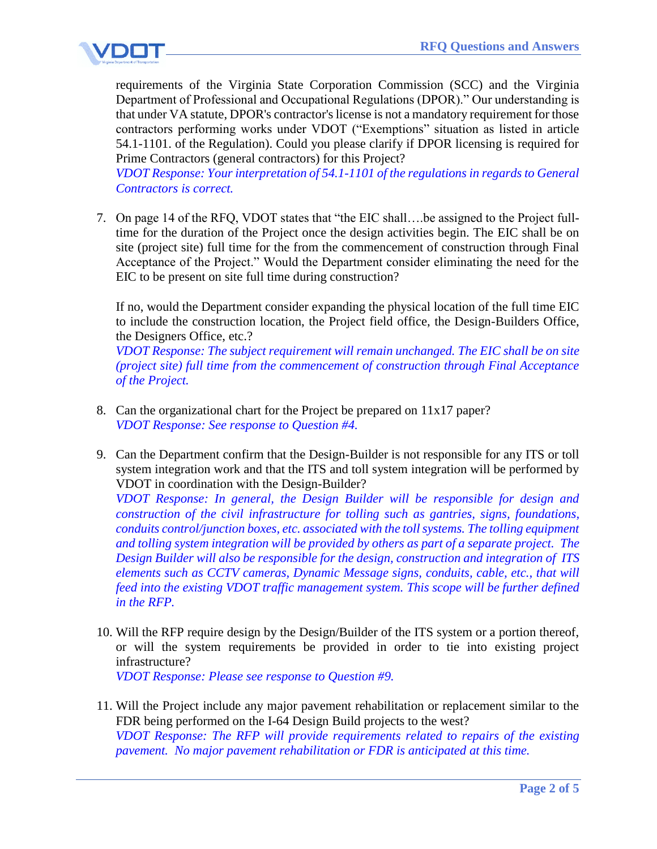

requirements of the Virginia State Corporation Commission (SCC) and the Virginia Department of Professional and Occupational Regulations (DPOR)." Our understanding is that under VA statute, DPOR's contractor's license is not a mandatory requirement for those contractors performing works under VDOT ("Exemptions" situation as listed in article 54.1-1101. of the Regulation). Could you please clarify if DPOR licensing is required for Prime Contractors (general contractors) for this Project?

*VDOT Response: Your interpretation of 54.1-1101 of the regulations in regards to General Contractors is correct.* 

7. On page 14 of the RFQ, VDOT states that "the EIC shall….be assigned to the Project fulltime for the duration of the Project once the design activities begin. The EIC shall be on site (project site) full time for the from the commencement of construction through Final Acceptance of the Project." Would the Department consider eliminating the need for the EIC to be present on site full time during construction?

If no, would the Department consider expanding the physical location of the full time EIC to include the construction location, the Project field office, the Design-Builders Office, the Designers Office, etc.?

*VDOT Response: The subject requirement will remain unchanged. The EIC shall be on site (project site) full time from the commencement of construction through Final Acceptance of the Project.*

- 8. Can the organizational chart for the Project be prepared on 11x17 paper? *VDOT Response: See response to Question #4.*
- 9. Can the Department confirm that the Design-Builder is not responsible for any ITS or toll system integration work and that the ITS and toll system integration will be performed by VDOT in coordination with the Design-Builder?

*VDOT Response: In general, the Design Builder will be responsible for design and construction of the civil infrastructure for tolling such as gantries, signs, foundations, conduits control/junction boxes, etc. associated with the toll systems. The tolling equipment and tolling system integration will be provided by others as part of a separate project. The Design Builder will also be responsible for the design, construction and integration of ITS elements such as CCTV cameras, Dynamic Message signs, conduits, cable, etc., that will feed into the existing VDOT traffic management system. This scope will be further defined in the RFP.*

10. Will the RFP require design by the Design/Builder of the ITS system or a portion thereof, or will the system requirements be provided in order to tie into existing project infrastructure?

*VDOT Response: Please see response to Question #9.* 

11. Will the Project include any major pavement rehabilitation or replacement similar to the FDR being performed on the I-64 Design Build projects to the west? *VDOT Response: The RFP will provide requirements related to repairs of the existing pavement. No major pavement rehabilitation or FDR is anticipated at this time.*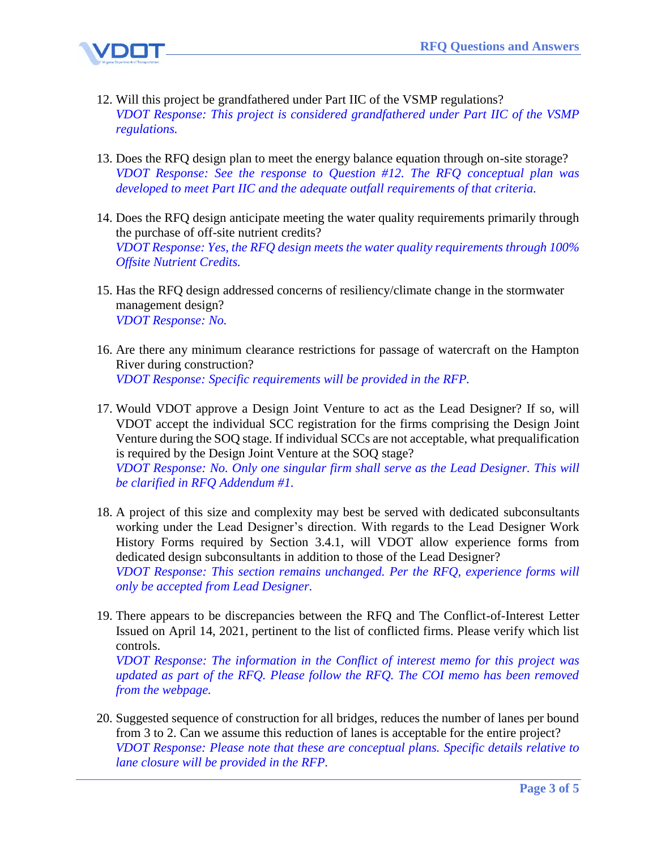

- 12. Will this project be grandfathered under Part IIC of the VSMP regulations? *VDOT Response: This project is considered grandfathered under Part IIC of the VSMP regulations.*
- 13. Does the RFQ design plan to meet the energy balance equation through on-site storage? *VDOT Response: See the response to Question #12. The RFQ conceptual plan was developed to meet Part IIC and the adequate outfall requirements of that criteria.*
- 14. Does the RFQ design anticipate meeting the water quality requirements primarily through the purchase of off-site nutrient credits? *VDOT Response: Yes, the RFQ design meets the water quality requirements through 100% Offsite Nutrient Credits.*
- 15. Has the RFQ design addressed concerns of resiliency/climate change in the stormwater management design? *VDOT Response: No.*
- 16. Are there any minimum clearance restrictions for passage of watercraft on the Hampton River during construction? *VDOT Response: Specific requirements will be provided in the RFP.*
- 17. Would VDOT approve a Design Joint Venture to act as the Lead Designer? If so, will VDOT accept the individual SCC registration for the firms comprising the Design Joint Venture during the SOQ stage. If individual SCCs are not acceptable, what prequalification is required by the Design Joint Venture at the SOQ stage? *VDOT Response: No. Only one singular firm shall serve as the Lead Designer. This will*

*be clarified in RFQ Addendum #1.*

- 18. A project of this size and complexity may best be served with dedicated subconsultants working under the Lead Designer's direction. With regards to the Lead Designer Work History Forms required by Section 3.4.1, will VDOT allow experience forms from dedicated design subconsultants in addition to those of the Lead Designer? *VDOT Response: This section remains unchanged. Per the RFQ, experience forms will only be accepted from Lead Designer.*
- 19. There appears to be discrepancies between the RFQ and The Conflict-of-Interest Letter Issued on April 14, 2021, pertinent to the list of conflicted firms. Please verify which list controls.

*VDOT Response: The information in the Conflict of interest memo for this project was updated as part of the RFQ. Please follow the RFQ. The COI memo has been removed from the webpage.*

20. Suggested sequence of construction for all bridges, reduces the number of lanes per bound from 3 to 2. Can we assume this reduction of lanes is acceptable for the entire project? *VDOT Response: Please note that these are conceptual plans. Specific details relative to lane closure will be provided in the RFP.*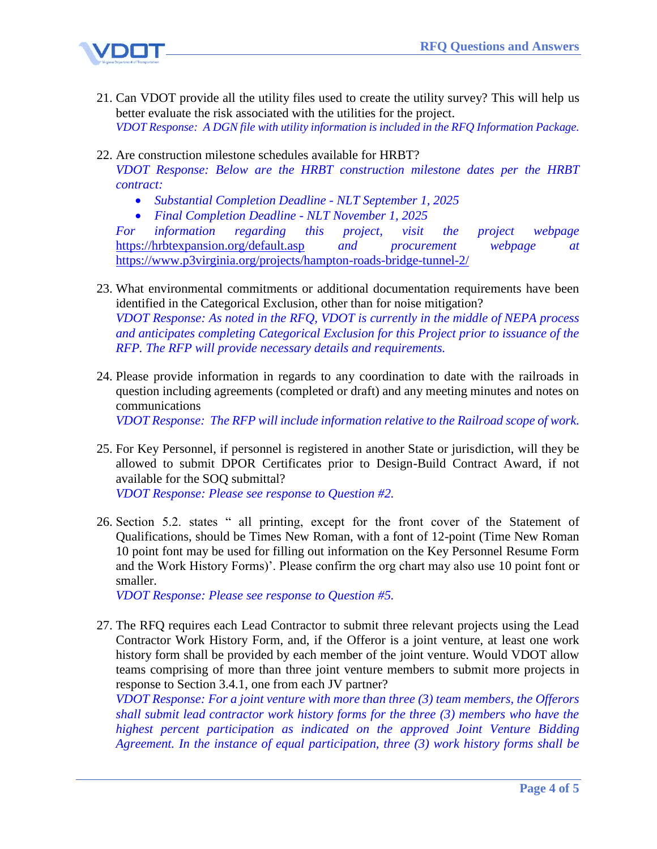

- 21. Can VDOT provide all the utility files used to create the utility survey? This will help us better evaluate the risk associated with the utilities for the project. *VDOT Response: A DGN file with utility information is included in the RFQ Information Package.*
- 22. Are construction milestone schedules available for HRBT?

*VDOT Response: Below are the HRBT construction milestone dates per the HRBT contract:*

- *Substantial Completion Deadline - NLT September 1, 2025*
- *Final Completion Deadline - NLT November 1, 2025*

*For information regarding this project, visit the project webpage* <https://hrbtexpansion.org/default.asp> *and procurement webpage at*  <https://www.p3virginia.org/projects/hampton-roads-bridge-tunnel-2/>

- 23. What environmental commitments or additional documentation requirements have been identified in the Categorical Exclusion, other than for noise mitigation? *VDOT Response: As noted in the RFQ, VDOT is currently in the middle of NEPA process and anticipates completing Categorical Exclusion for this Project prior to issuance of the RFP. The RFP will provide necessary details and requirements.*
- 24. Please provide information in regards to any coordination to date with the railroads in question including agreements (completed or draft) and any meeting minutes and notes on communications

*VDOT Response: The RFP will include information relative to the Railroad scope of work.* 

25. For Key Personnel, if personnel is registered in another State or jurisdiction, will they be allowed to submit DPOR Certificates prior to Design-Build Contract Award, if not available for the SOQ submittal?

*VDOT Response: Please see response to Question #2.*

26. Section 5.2. states " all printing, except for the front cover of the Statement of Qualifications, should be Times New Roman, with a font of 12-point (Time New Roman 10 point font may be used for filling out information on the Key Personnel Resume Form and the Work History Forms)'. Please confirm the org chart may also use 10 point font or smaller.

*VDOT Response: Please see response to Question #5.*

27. The RFQ requires each Lead Contractor to submit three relevant projects using the Lead Contractor Work History Form, and, if the Offeror is a joint venture, at least one work history form shall be provided by each member of the joint venture. Would VDOT allow teams comprising of more than three joint venture members to submit more projects in response to Section 3.4.1, one from each JV partner?

*VDOT Response: For a joint venture with more than three (3) team members, the Offerors shall submit lead contractor work history forms for the three (3) members who have the highest percent participation as indicated on the approved Joint Venture Bidding Agreement. In the instance of equal participation, three (3) work history forms shall be*